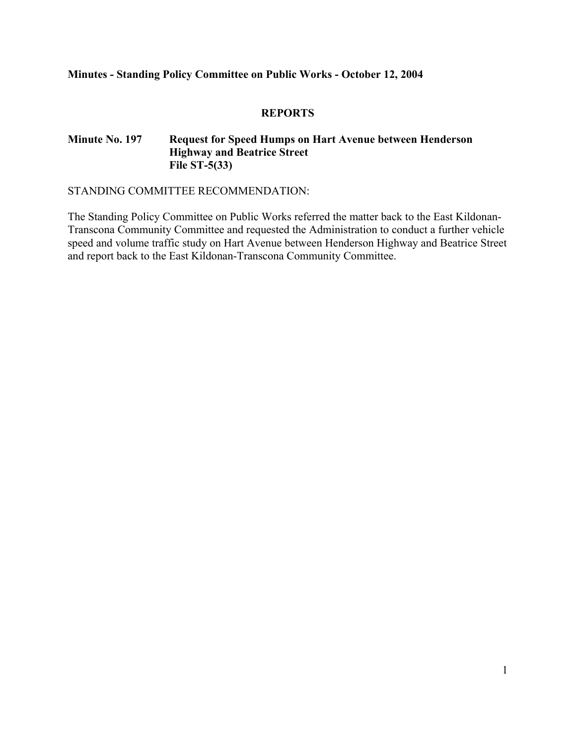#### **Minutes - Standing Policy Committee on Public Works - October 12, 2004**

#### **REPORTS**

#### **Minute No. 197 Request for Speed Humps on Hart Avenue between Henderson Highway and Beatrice Street File ST-5(33)**

STANDING COMMITTEE RECOMMENDATION:

The Standing Policy Committee on Public Works referred the matter back to the East Kildonan-Transcona Community Committee and requested the Administration to conduct a further vehicle speed and volume traffic study on Hart Avenue between Henderson Highway and Beatrice Street and report back to the East Kildonan-Transcona Community Committee.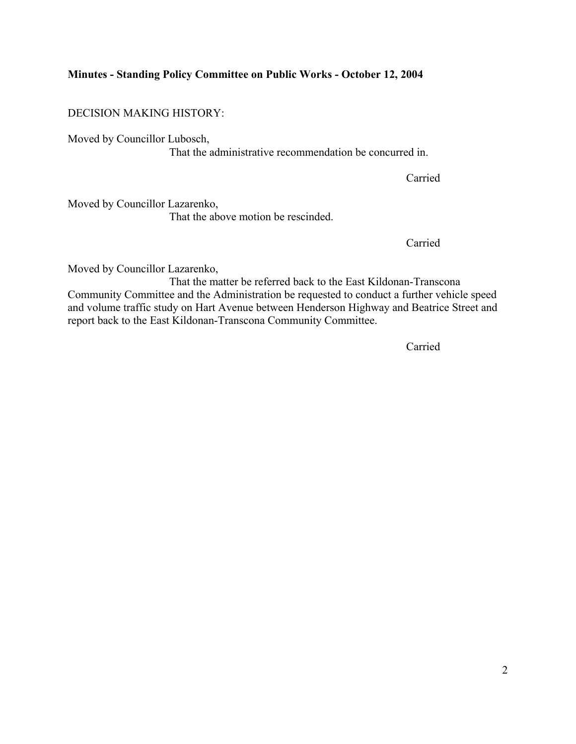#### **Minutes - Standing Policy Committee on Public Works - October 12, 2004**

DECISION MAKING HISTORY:

Moved by Councillor Lubosch, That the administrative recommendation be concurred in.

**Carried** 

Moved by Councillor Lazarenko, That the above motion be rescinded.

**Carried** 

Moved by Councillor Lazarenko,

 That the matter be referred back to the East Kildonan-Transcona Community Committee and the Administration be requested to conduct a further vehicle speed and volume traffic study on Hart Avenue between Henderson Highway and Beatrice Street and report back to the East Kildonan-Transcona Community Committee.

*Carried*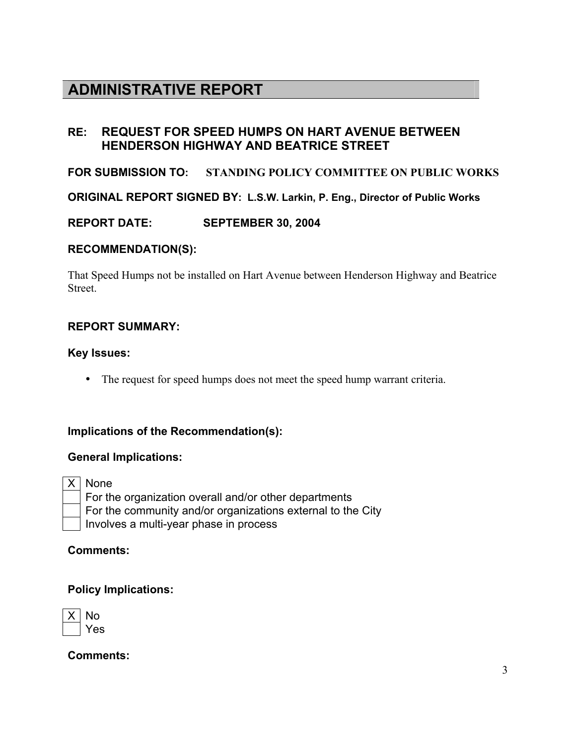# **ADMINISTRATIVE REPORT**

# **RE: REQUEST FOR SPEED HUMPS ON HART AVENUE BETWEEN HENDERSON HIGHWAY AND BEATRICE STREET**

## **FOR SUBMISSION TO: STANDING POLICY COMMITTEE ON PUBLIC WORKS**

**ORIGINAL REPORT SIGNED BY: L.S.W. Larkin, P. Eng., Director of Public Works** 

**REPORT DATE: SEPTEMBER 30, 2004** 

#### **RECOMMENDATION(S):**

That Speed Humps not be installed on Hart Avenue between Henderson Highway and Beatrice **Street**.

## **REPORT SUMMARY:**

#### **Key Issues:**

• The request for speed humps does not meet the speed hump warrant criteria.

### **Implications of the Recommendation(s):**

#### **General Implications:**

X None

 For the organization overall and/or other departments For the community and/or organizations external to the City Involves a multi-year phase in process

### **Comments:**

### **Policy Implications:**

| n<br>Λ |  |  |
|--------|--|--|
| ÷<br>╾ |  |  |

**Comments:**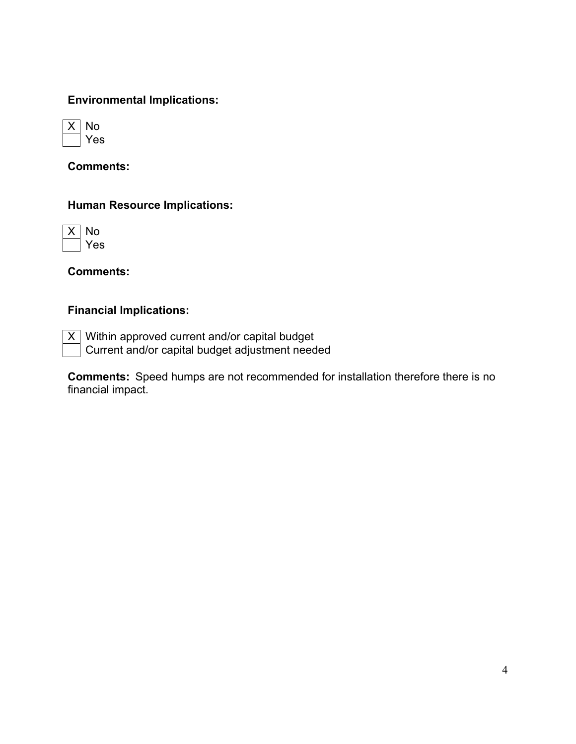# **Environmental Implications:**



**Comments:** 

## **Human Resource Implications:**



**Comments:** 

# **Financial Implications:**

 $\overline{X}$  Within approved current and/or capital budget Current and/or capital budget adjustment needed

**Comments:** Speed humps are not recommended for installation therefore there is no financial impact.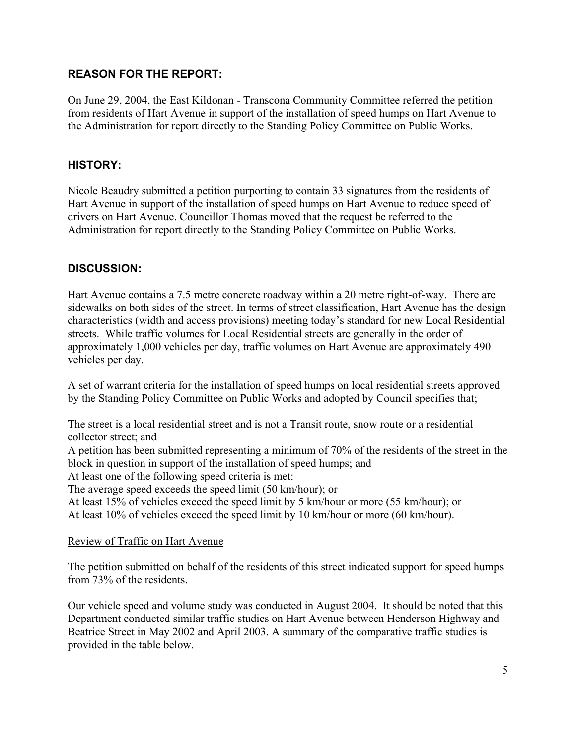## **REASON FOR THE REPORT:**

On June 29, 2004, the East Kildonan - Transcona Community Committee referred the petition from residents of Hart Avenue in support of the installation of speed humps on Hart Avenue to the Administration for report directly to the Standing Policy Committee on Public Works.

## **HISTORY:**

Nicole Beaudry submitted a petition purporting to contain 33 signatures from the residents of Hart Avenue in support of the installation of speed humps on Hart Avenue to reduce speed of drivers on Hart Avenue. Councillor Thomas moved that the request be referred to the Administration for report directly to the Standing Policy Committee on Public Works.

# **DISCUSSION:**

Hart Avenue contains a 7.5 metre concrete roadway within a 20 metre right-of-way. There are sidewalks on both sides of the street. In terms of street classification, Hart Avenue has the design characteristics (width and access provisions) meeting today's standard for new Local Residential streets. While traffic volumes for Local Residential streets are generally in the order of approximately 1,000 vehicles per day, traffic volumes on Hart Avenue are approximately 490 vehicles per day.

A set of warrant criteria for the installation of speed humps on local residential streets approved by the Standing Policy Committee on Public Works and adopted by Council specifies that;

The street is a local residential street and is not a Transit route, snow route or a residential collector street; and

A petition has been submitted representing a minimum of 70% of the residents of the street in the block in question in support of the installation of speed humps; and

At least one of the following speed criteria is met:

The average speed exceeds the speed limit (50 km/hour); or

At least 15% of vehicles exceed the speed limit by 5 km/hour or more (55 km/hour); or

At least 10% of vehicles exceed the speed limit by 10 km/hour or more (60 km/hour).

#### Review of Traffic on Hart Avenue

The petition submitted on behalf of the residents of this street indicated support for speed humps from 73% of the residents.

Our vehicle speed and volume study was conducted in August 2004. It should be noted that this Department conducted similar traffic studies on Hart Avenue between Henderson Highway and Beatrice Street in May 2002 and April 2003. A summary of the comparative traffic studies is provided in the table below.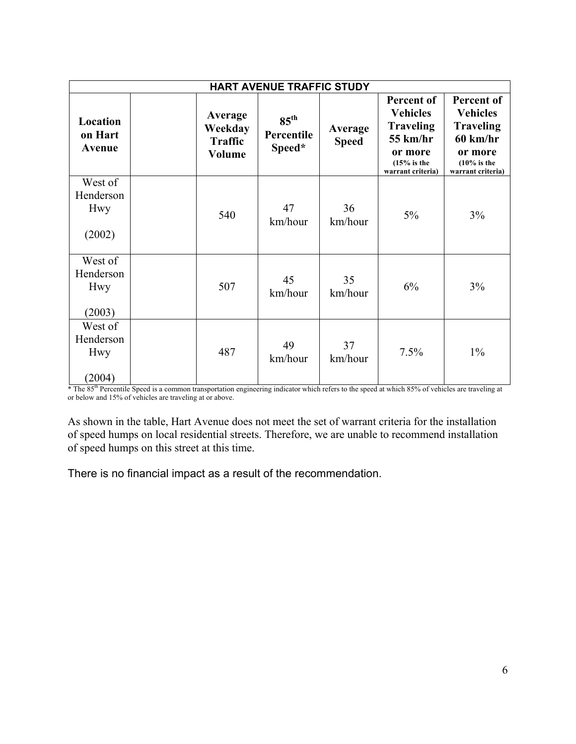| <b>HART AVENUE TRAFFIC STUDY</b>      |  |                                                |                                          |                         |                                                                                                                          |                                                                                                                                    |  |  |
|---------------------------------------|--|------------------------------------------------|------------------------------------------|-------------------------|--------------------------------------------------------------------------------------------------------------------------|------------------------------------------------------------------------------------------------------------------------------------|--|--|
| Location<br>on Hart<br>Avenue         |  | Average<br>Weekday<br><b>Traffic</b><br>Volume | $85^{\text{th}}$<br>Percentile<br>Speed* | Average<br><b>Speed</b> | Percent of<br><b>Vehicles</b><br><b>Traveling</b><br>$55 \text{ km/hr}$<br>or more<br>$(15%$ is the<br>warrant criteria) | Percent of<br><b>Vehicles</b><br><b>Traveling</b><br>$60 \text{ km/hr}$<br>or more<br>$(10\% \text{ is the})$<br>warrant criteria) |  |  |
| West of<br>Henderson<br>Hwy<br>(2002) |  | 540                                            | 47<br>km/hour                            | 36<br>km/hour           | 5%                                                                                                                       | 3%                                                                                                                                 |  |  |
| West of<br>Henderson<br>Hwy<br>(2003) |  | 507                                            | 45<br>km/hour                            | 35<br>km/hour           | 6%                                                                                                                       | 3%                                                                                                                                 |  |  |
| West of<br>Henderson<br>Hwy<br>(2004) |  | 487                                            | 49<br>km/hour                            | 37<br>km/hour           | 7.5%                                                                                                                     | $1\%$                                                                                                                              |  |  |

\* The 85th Percentile Speed is a common transportation engineering indicator which refers to the speed at which 85% of vehicles are traveling at or below and 15% of vehicles are traveling at or above.

As shown in the table, Hart Avenue does not meet the set of warrant criteria for the installation of speed humps on local residential streets. Therefore, we are unable to recommend installation of speed humps on this street at this time.

There is no financial impact as a result of the recommendation.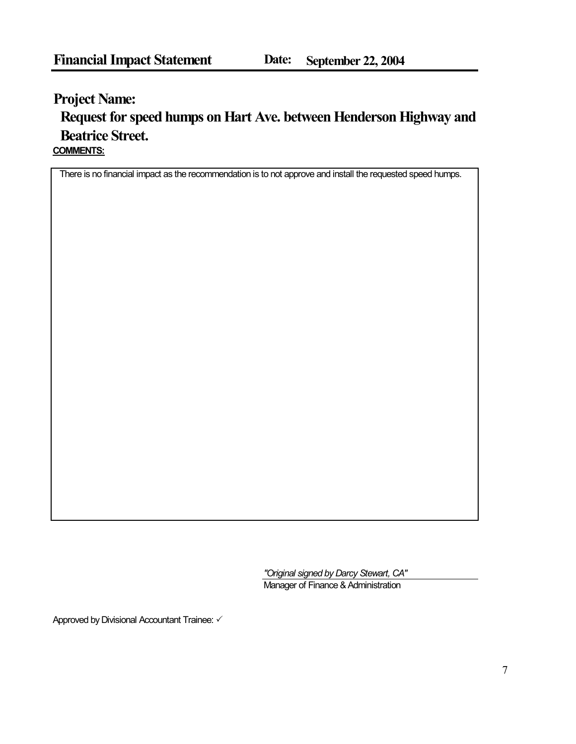# **Project Name: COMMENTS: Request for speed humps on Hart Ave. between Henderson Highway and Beatrice Street.**

There is no financial impact as the recommendation is to not approve and install the requested speed humps.

*"Original signed by Darcy Stewart, CA"* Manager of Finance & Administration

Approved by Divisional Accountant Trainee:  $\checkmark$